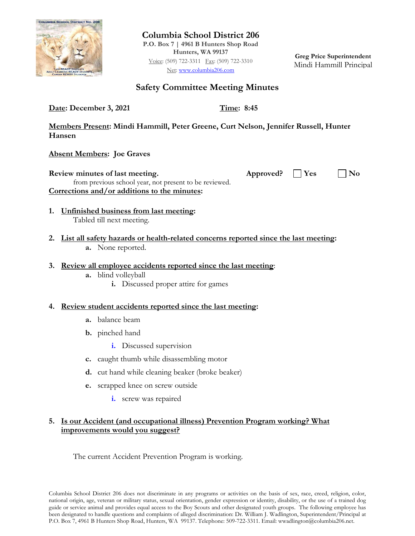

**Columbia School District 206 P.O. Box 7 | 4961 B Hunters Shop Road Hunters, WA 99137** Voice: (509) 722-3311 Fax: (509) 722-3310 Net: [www.columbia206.com](http://www.columbia206.com/)

**Greg Price Superintendent** Mindi Hammill Principal

# **Safety Committee Meeting Minutes**

**Date: December 3, 2021 Time: 8:45** 

**Members Present: Mindi Hammill, Peter Greene, Curt Nelson, Jennifer Russell, Hunter Hansen**

**Absent Members: Joe Graves**

**Review minutes of last meeting.** Approved? Some Manufacture Model is not approved? No from previous school year, not present to be reviewed. **Corrections and/or additions to the minutes:**

- **1. Unfinished business from last meeting:**  Tabled till next meeting.
- **2. List all safety hazards or health-related concerns reported since the last meeting: a.** None reported.
- **3. Review all employee accidents reported since the last meeting**:
	- **a.** blind volleyball
		- **i.** Discussed proper attire for games

# **4. Review student accidents reported since the last meeting:**

- **a.** balance beam
- **b.** pinched hand
	- **i.** Discussed supervision
- **c.** caught thumb while disassembling motor
- **d.** cut hand while cleaning beaker (broke beaker)
- **e.** scrapped knee on screw outside
	- **i.** screw was repaired

# **5. Is our Accident (and occupational illness) Prevention Program working? What improvements would you suggest?**

The current Accident Prevention Program is working.

Columbia School District 206 does not discriminate in any programs or activities on the basis of sex, race, creed, religion, color, national origin, age, veteran or military status, sexual orientation, gender expression or identity, disability, or the use of a trained dog guide or service animal and provides equal access to the Boy Scouts and other designated youth groups. The following employee has been designated to handle questions and complaints of alleged discrimination: Dr. William J. Wadlington, Superintendent/Principal at P.O. Box 7, 4961 B Hunters Shop Road, Hunters, WA 99137. Telephone: 509-722-3311. Email: wwadlington@columbia206.net.